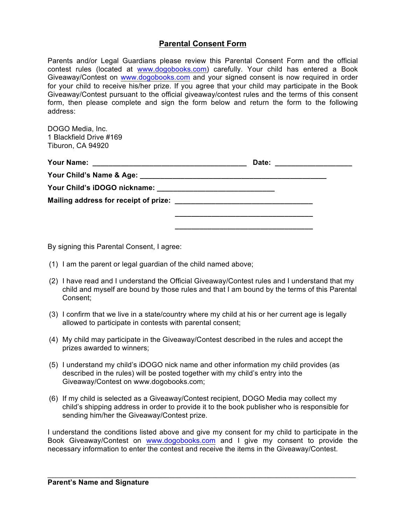## **Parental Consent Form**

Parents and/or Legal Guardians please review this Parental Consent Form and the official contest rules (located at www.dogobooks.com) carefully. Your child has entered a Book Giveaway/Contest on www.dogobooks.com and your signed consent is now required in order for your child to receive his/her prize. If you agree that your child may participate in the Book Giveaway/Contest pursuant to the official giveaway/contest rules and the terms of this consent form, then please complete and sign the form below and return the form to the following address:

DOGO Media, Inc. 1 Blackfield Drive #169 Tiburon, CA 94920

| <b>Your Name:</b> | Date: ____________________ |  |
|-------------------|----------------------------|--|
|                   |                            |  |
|                   |                            |  |
|                   |                            |  |
|                   |                            |  |
|                   |                            |  |

By signing this Parental Consent, I agree:

- (1) I am the parent or legal guardian of the child named above;
- (2) I have read and I understand the Official Giveaway/Contest rules and I understand that my child and myself are bound by those rules and that I am bound by the terms of this Parental Consent;
- (3) I confirm that we live in a state/country where my child at his or her current age is legally allowed to participate in contests with parental consent;
- (4) My child may participate in the Giveaway/Contest described in the rules and accept the prizes awarded to winners;
- (5) I understand my child's iDOGO nick name and other information my child provides (as described in the rules) will be posted together with my child's entry into the Giveaway/Contest on www.dogobooks.com;
- (6) If my child is selected as a Giveaway/Contest recipient, DOGO Media may collect my child's shipping address in order to provide it to the book publisher who is responsible for sending him/her the Giveaway/Contest prize.

I understand the conditions listed above and give my consent for my child to participate in the Book Giveaway/Contest on www.dogobooks.com and I give my consent to provide the necessary information to enter the contest and receive the items in the Giveaway/Contest.

\_\_\_\_\_\_\_\_\_\_\_\_\_\_\_\_\_\_\_\_\_\_\_\_\_\_\_\_\_\_\_\_\_\_\_\_\_\_\_\_\_\_\_\_\_\_\_\_\_\_\_\_\_\_\_\_\_\_\_\_\_\_\_\_\_\_\_\_\_\_\_\_\_\_\_\_